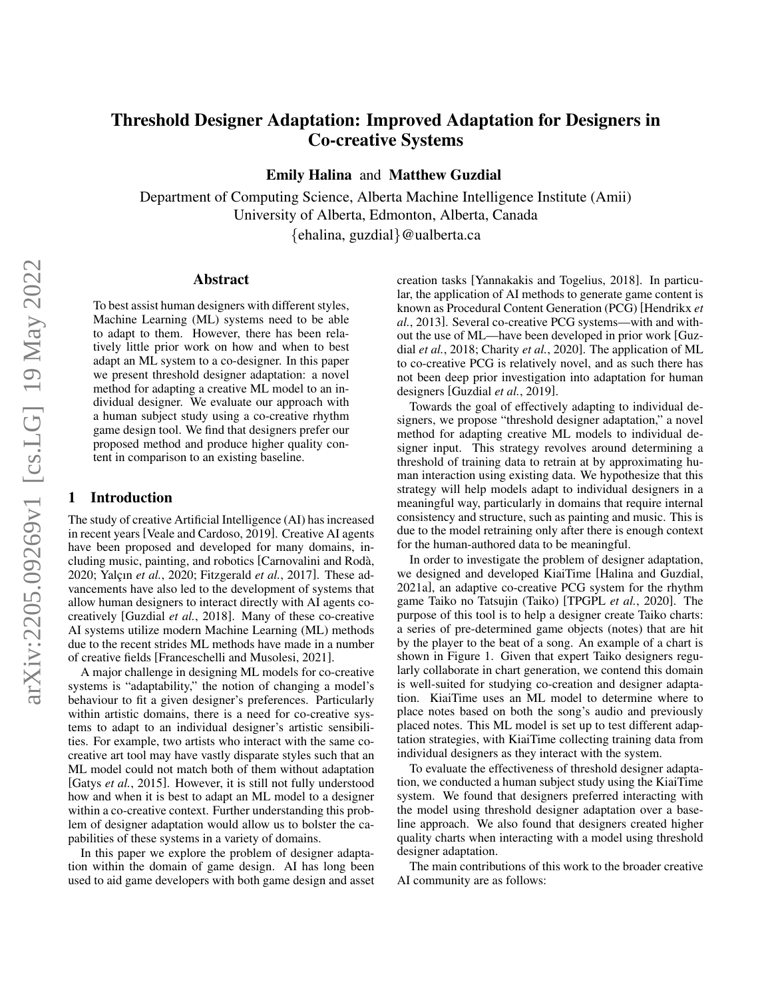# Threshold Designer Adaptation: Improved Adaptation for Designers in Co-creative Systems

Emily Halina and Matthew Guzdial

Department of Computing Science, Alberta Machine Intelligence Institute (Amii) University of Alberta, Edmonton, Alberta, Canada

{ehalina, guzdial}@ualberta.ca

#### Abstract

To best assist human designers with different styles, Machine Learning (ML) systems need to be able to adapt to them. However, there has been relatively little prior work on how and when to best adapt an ML system to a co-designer. In this paper we present threshold designer adaptation: a novel method for adapting a creative ML model to an individual designer. We evaluate our approach with a human subject study using a co-creative rhythm game design tool. We find that designers prefer our proposed method and produce higher quality content in comparison to an existing baseline.

#### 1 Introduction

The study of creative Artificial Intelligence (AI) has increased in recent years [\[Veale and Cardoso, 2019\]](#page-6-0). Creative AI agents have been proposed and developed for many domains, including music, painting, and robotics [\[Carnovalini and Roda,`](#page-6-1) [2020;](#page-6-1) Yalçın *et al.*, 2020; [Fitzgerald](#page-6-3) *et al.*, 2017]. These advancements have also led to the development of systems that allow human designers to interact directly with AI agents cocreatively [\[Guzdial](#page-6-4) *et al.*, 2018]. Many of these co-creative AI systems utilize modern Machine Learning (ML) methods due to the recent strides ML methods have made in a number of creative fields [\[Franceschelli and Musolesi, 2021\]](#page-6-5).

A major challenge in designing ML models for co-creative systems is "adaptability," the notion of changing a model's behaviour to fit a given designer's preferences. Particularly within artistic domains, there is a need for co-creative systems to adapt to an individual designer's artistic sensibilities. For example, two artists who interact with the same cocreative art tool may have vastly disparate styles such that an ML model could not match both of them without adaptation [Gatys *et al.*[, 2015\]](#page-6-6). However, it is still not fully understood how and when it is best to adapt an ML model to a designer within a co-creative context. Further understanding this problem of designer adaptation would allow us to bolster the capabilities of these systems in a variety of domains.

In this paper we explore the problem of designer adaptation within the domain of game design. AI has long been used to aid game developers with both game design and asset creation tasks [\[Yannakakis and Togelius, 2018\]](#page-6-7). In particular, the application of AI methods to generate game content is known as Procedural Content Generation (PCG) [\[Hendrikx](#page-6-8) *et al.*[, 2013\]](#page-6-8). Several co-creative PCG systems—with and without the use of ML—have been developed in prior work [\[Guz](#page-6-4)dial *et al.*[, 2018;](#page-6-4) [Charity](#page-6-9) *et al.*, 2020]. The application of ML to co-creative PCG is relatively novel, and as such there has not been deep prior investigation into adaptation for human designers [\[Guzdial](#page-6-10) *et al.*, 2019].

Towards the goal of effectively adapting to individual designers, we propose "threshold designer adaptation," a novel method for adapting creative ML models to individual designer input. This strategy revolves around determining a threshold of training data to retrain at by approximating human interaction using existing data. We hypothesize that this strategy will help models adapt to individual designers in a meaningful way, particularly in domains that require internal consistency and structure, such as painting and music. This is due to the model retraining only after there is enough context for the human-authored data to be meaningful.

In order to investigate the problem of designer adaptation, we designed and developed KiaiTime [\[Halina and Guzdial,](#page-6-11) [2021a\]](#page-6-11), an adaptive co-creative PCG system for the rhythm game Taiko no Tatsujin (Taiko) [\[TPGPL](#page-6-12) *et al.*, 2020]. The purpose of this tool is to help a designer create Taiko charts: a series of pre-determined game objects (notes) that are hit by the player to the beat of a song. An example of a chart is shown in Figure [1.](#page-2-0) Given that expert Taiko designers regularly collaborate in chart generation, we contend this domain is well-suited for studying co-creation and designer adaptation. KiaiTime uses an ML model to determine where to place notes based on both the song's audio and previously placed notes. This ML model is set up to test different adaptation strategies, with KiaiTime collecting training data from individual designers as they interact with the system.

To evaluate the effectiveness of threshold designer adaptation, we conducted a human subject study using the KiaiTime system. We found that designers preferred interacting with the model using threshold designer adaptation over a baseline approach. We also found that designers created higher quality charts when interacting with a model using threshold designer adaptation.

The main contributions of this work to the broader creative AI community are as follows: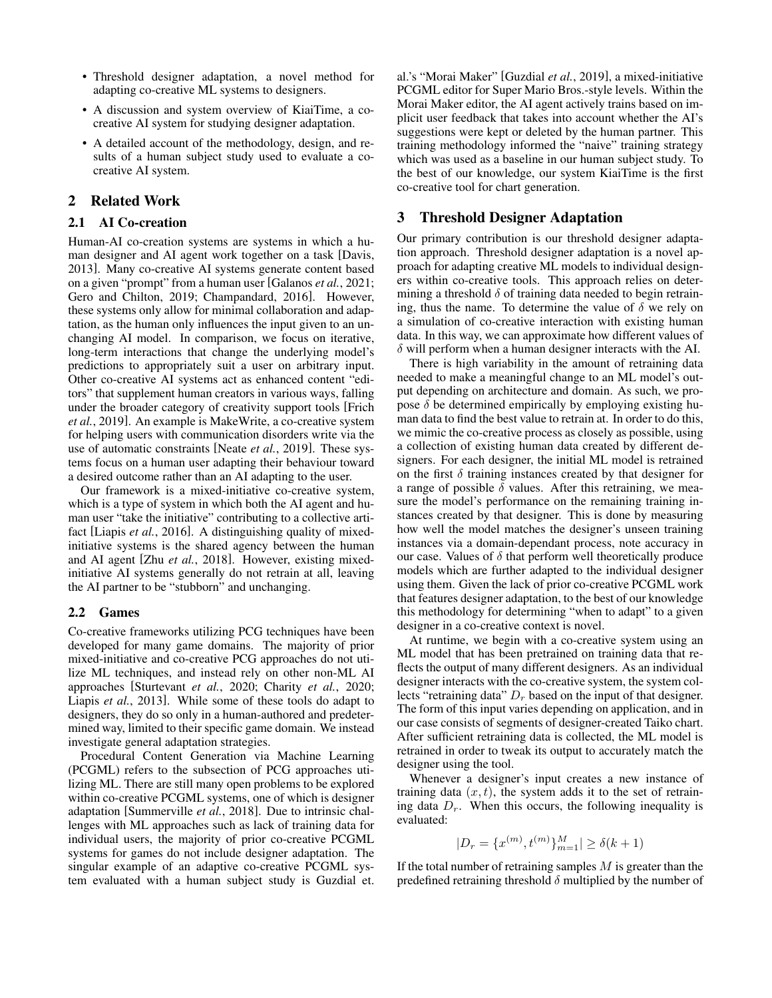- Threshold designer adaptation, a novel method for adapting co-creative ML systems to designers.
- A discussion and system overview of KiaiTime, a cocreative AI system for studying designer adaptation.
- A detailed account of the methodology, design, and results of a human subject study used to evaluate a cocreative AI system.

# 2 Related Work

#### 2.1 AI Co-creation

Human-AI co-creation systems are systems in which a human designer and AI agent work together on a task [\[Davis,](#page-6-13) [2013\]](#page-6-13). Many co-creative AI systems generate content based on a given "prompt" from a human user [\[Galanos](#page-6-14) *et al.*, 2021; [Gero and Chilton, 2019;](#page-6-15) [Champandard, 2016\]](#page-6-16). However, these systems only allow for minimal collaboration and adaptation, as the human only influences the input given to an unchanging AI model. In comparison, we focus on iterative, long-term interactions that change the underlying model's predictions to appropriately suit a user on arbitrary input. Other co-creative AI systems act as enhanced content "editors" that supplement human creators in various ways, falling under the broader category of creativity support tools [\[Frich](#page-6-17) *et al.*[, 2019\]](#page-6-17). An example is MakeWrite, a co-creative system for helping users with communication disorders write via the use of automatic constraints [Neate *et al.*[, 2019\]](#page-6-18). These systems focus on a human user adapting their behaviour toward a desired outcome rather than an AI adapting to the user.

Our framework is a mixed-initiative co-creative system, which is a type of system in which both the AI agent and human user "take the initiative" contributing to a collective artifact [Liapis *et al.*[, 2016\]](#page-6-19). A distinguishing quality of mixedinitiative systems is the shared agency between the human and AI agent [Zhu *et al.*[, 2018\]](#page-6-20). However, existing mixedinitiative AI systems generally do not retrain at all, leaving the AI partner to be "stubborn" and unchanging.

#### 2.2 Games

Co-creative frameworks utilizing PCG techniques have been developed for many game domains. The majority of prior mixed-initiative and co-creative PCG approaches do not utilize ML techniques, and instead rely on other non-ML AI approaches [\[Sturtevant](#page-6-21) *et al.*, 2020; [Charity](#page-6-9) *et al.*, 2020; Liapis *et al.*[, 2013\]](#page-6-22). While some of these tools do adapt to designers, they do so only in a human-authored and predetermined way, limited to their specific game domain. We instead investigate general adaptation strategies.

Procedural Content Generation via Machine Learning (PCGML) refers to the subsection of PCG approaches utilizing ML. There are still many open problems to be explored within co-creative PCGML systems, one of which is designer adaptation [\[Summerville](#page-6-23) *et al.*, 2018]. Due to intrinsic challenges with ML approaches such as lack of training data for individual users, the majority of prior co-creative PCGML systems for games do not include designer adaptation. The singular example of an adaptive co-creative PCGML system evaluated with a human subject study is Guzdial et. al.'s "Morai Maker" [\[Guzdial](#page-6-10) *et al.*, 2019], a mixed-initiative PCGML editor for Super Mario Bros.-style levels. Within the Morai Maker editor, the AI agent actively trains based on implicit user feedback that takes into account whether the AI's suggestions were kept or deleted by the human partner. This training methodology informed the "naive" training strategy which was used as a baseline in our human subject study. To the best of our knowledge, our system KiaiTime is the first co-creative tool for chart generation.

#### 3 Threshold Designer Adaptation

Our primary contribution is our threshold designer adaptation approach. Threshold designer adaptation is a novel approach for adapting creative ML models to individual designers within co-creative tools. This approach relies on determining a threshold  $\delta$  of training data needed to begin retraining, thus the name. To determine the value of  $\delta$  we rely on a simulation of co-creative interaction with existing human data. In this way, we can approximate how different values of  $\delta$  will perform when a human designer interacts with the AI.

There is high variability in the amount of retraining data needed to make a meaningful change to an ML model's output depending on architecture and domain. As such, we propose  $\delta$  be determined empirically by employing existing human data to find the best value to retrain at. In order to do this, we mimic the co-creative process as closely as possible, using a collection of existing human data created by different designers. For each designer, the initial ML model is retrained on the first  $\delta$  training instances created by that designer for a range of possible  $\delta$  values. After this retraining, we measure the model's performance on the remaining training instances created by that designer. This is done by measuring how well the model matches the designer's unseen training instances via a domain-dependant process, note accuracy in our case. Values of  $\delta$  that perform well theoretically produce models which are further adapted to the individual designer using them. Given the lack of prior co-creative PCGML work that features designer adaptation, to the best of our knowledge this methodology for determining "when to adapt" to a given designer in a co-creative context is novel.

At runtime, we begin with a co-creative system using an ML model that has been pretrained on training data that reflects the output of many different designers. As an individual designer interacts with the co-creative system, the system collects "retraining data"  $D<sub>r</sub>$  based on the input of that designer. The form of this input varies depending on application, and in our case consists of segments of designer-created Taiko chart. After sufficient retraining data is collected, the ML model is retrained in order to tweak its output to accurately match the designer using the tool.

Whenever a designer's input creates a new instance of training data  $(x, t)$ , the system adds it to the set of retraining data  $D_r$ . When this occurs, the following inequality is evaluated:

$$
|D_r = \{x^{(m)}, t^{(m)}\}_{m=1}^M| \ge \delta(k+1)
$$

If the total number of retraining samples  $M$  is greater than the predefined retraining threshold  $\delta$  multiplied by the number of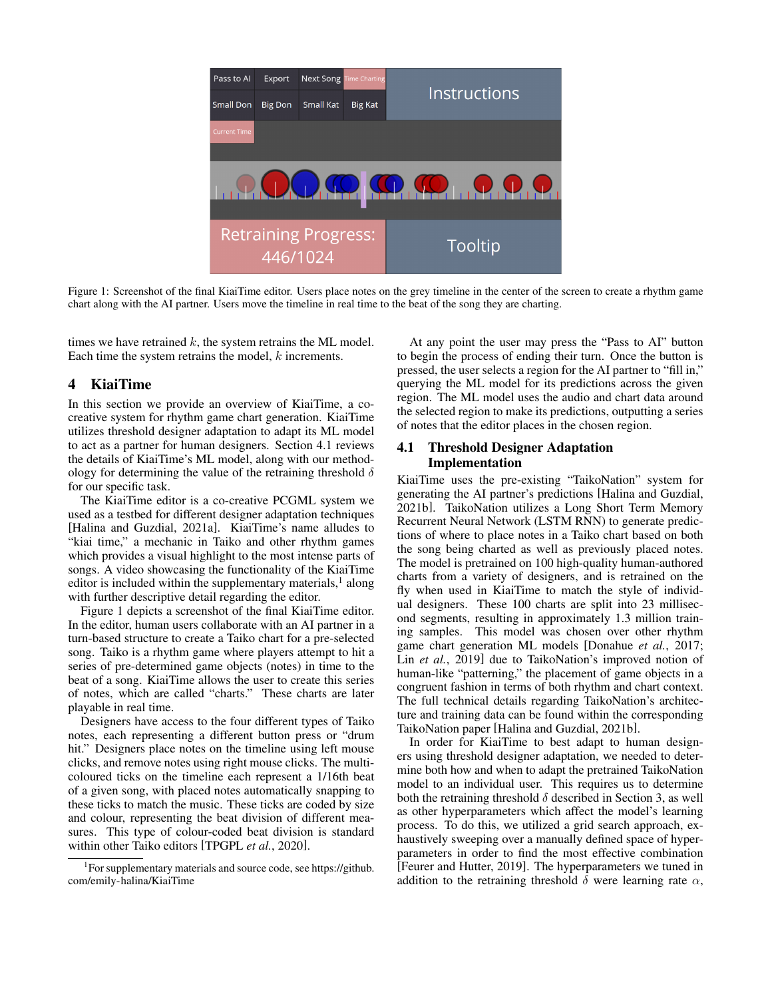<span id="page-2-0"></span>

Figure 1: Screenshot of the final KiaiTime editor. Users place notes on the grey timeline in the center of the screen to create a rhythm game chart along with the AI partner. Users move the timeline in real time to the beat of the song they are charting.

times we have retrained  $k$ , the system retrains the ML model. Each time the system retrains the model, k increments.

# 4 KiaiTime

In this section we provide an overview of KiaiTime, a cocreative system for rhythm game chart generation. KiaiTime utilizes threshold designer adaptation to adapt its ML model to act as a partner for human designers. Section 4.1 reviews the details of KiaiTime's ML model, along with our methodology for determining the value of the retraining threshold  $\delta$ for our specific task.

The KiaiTime editor is a co-creative PCGML system we used as a testbed for different designer adaptation techniques [\[Halina and Guzdial, 2021a\]](#page-6-11). KiaiTime's name alludes to "kiai time," a mechanic in Taiko and other rhythm games which provides a visual highlight to the most intense parts of songs. A video showcasing the functionality of the KiaiTime editor is included within the supplementary materials,<sup>[1](#page-2-1)</sup> along with further descriptive detail regarding the editor.

Figure [1](#page-2-0) depicts a screenshot of the final KiaiTime editor. In the editor, human users collaborate with an AI partner in a turn-based structure to create a Taiko chart for a pre-selected song. Taiko is a rhythm game where players attempt to hit a series of pre-determined game objects (notes) in time to the beat of a song. KiaiTime allows the user to create this series of notes, which are called "charts." These charts are later playable in real time.

Designers have access to the four different types of Taiko notes, each representing a different button press or "drum hit." Designers place notes on the timeline using left mouse clicks, and remove notes using right mouse clicks. The multicoloured ticks on the timeline each represent a 1/16th beat of a given song, with placed notes automatically snapping to these ticks to match the music. These ticks are coded by size and colour, representing the beat division of different measures. This type of colour-coded beat division is standard within other Taiko editors [\[TPGPL](#page-6-12) *et al.*, 2020].

At any point the user may press the "Pass to AI" button to begin the process of ending their turn. Once the button is pressed, the user selects a region for the AI partner to "fill in," querying the ML model for its predictions across the given region. The ML model uses the audio and chart data around the selected region to make its predictions, outputting a series of notes that the editor places in the chosen region.

### 4.1 Threshold Designer Adaptation Implementation

KiaiTime uses the pre-existing "TaikoNation" system for generating the AI partner's predictions [\[Halina and Guzdial,](#page-6-24) [2021b\]](#page-6-24). TaikoNation utilizes a Long Short Term Memory Recurrent Neural Network (LSTM RNN) to generate predictions of where to place notes in a Taiko chart based on both the song being charted as well as previously placed notes. The model is pretrained on 100 high-quality human-authored charts from a variety of designers, and is retrained on the fly when used in KiaiTime to match the style of individual designers. These 100 charts are split into 23 millisecond segments, resulting in approximately 1.3 million training samples. This model was chosen over other rhythm game chart generation ML models [\[Donahue](#page-6-25) *et al.*, 2017; Lin *et al.*[, 2019\]](#page-6-26) due to TaikoNation's improved notion of human-like "patterning," the placement of game objects in a congruent fashion in terms of both rhythm and chart context. The full technical details regarding TaikoNation's architecture and training data can be found within the corresponding TaikoNation paper [\[Halina and Guzdial, 2021b\]](#page-6-24).

In order for KiaiTime to best adapt to human designers using threshold designer adaptation, we needed to determine both how and when to adapt the pretrained TaikoNation model to an individual user. This requires us to determine both the retraining threshold  $\delta$  described in Section 3, as well as other hyperparameters which affect the model's learning process. To do this, we utilized a grid search approach, exhaustively sweeping over a manually defined space of hyperparameters in order to find the most effective combination [\[Feurer and Hutter, 2019\]](#page-6-27). The hyperparameters we tuned in addition to the retraining threshold  $\delta$  were learning rate  $\alpha$ ,

<span id="page-2-1"></span><sup>1</sup> For supplementary materials and source code, see [https://github.](https://github.com/emily-halina/KiaiTime) [com/emily-halina/KiaiTime](https://github.com/emily-halina/KiaiTime)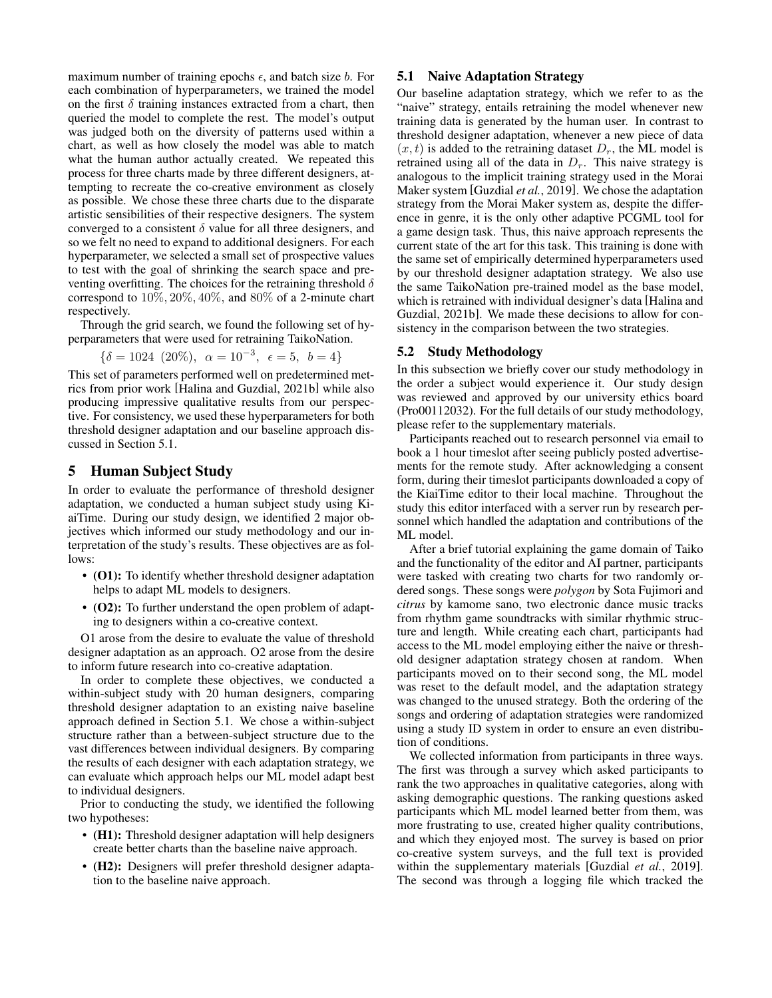maximum number of training epochs  $\epsilon$ , and batch size b. For each combination of hyperparameters, we trained the model on the first  $\delta$  training instances extracted from a chart, then queried the model to complete the rest. The model's output was judged both on the diversity of patterns used within a chart, as well as how closely the model was able to match what the human author actually created. We repeated this process for three charts made by three different designers, attempting to recreate the co-creative environment as closely as possible. We chose these three charts due to the disparate artistic sensibilities of their respective designers. The system converged to a consistent  $\delta$  value for all three designers, and so we felt no need to expand to additional designers. For each hyperparameter, we selected a small set of prospective values to test with the goal of shrinking the search space and preventing overfitting. The choices for the retraining threshold  $\delta$ correspond to 10%, 20%, 40%, and 80% of a 2-minute chart respectively.

Through the grid search, we found the following set of hyperparameters that were used for retraining TaikoNation.

$$
\{\delta = 1024 \ (20\%), \ \alpha = 10^{-3}, \ \epsilon = 5, \ b = 4\}
$$

This set of parameters performed well on predetermined metrics from prior work [\[Halina and Guzdial, 2021b\]](#page-6-24) while also producing impressive qualitative results from our perspective. For consistency, we used these hyperparameters for both threshold designer adaptation and our baseline approach discussed in Section 5.1.

### 5 Human Subject Study

In order to evaluate the performance of threshold designer adaptation, we conducted a human subject study using KiaiTime. During our study design, we identified 2 major objectives which informed our study methodology and our interpretation of the study's results. These objectives are as follows:

- (O1): To identify whether threshold designer adaptation helps to adapt ML models to designers.
- (O2): To further understand the open problem of adapting to designers within a co-creative context.

O1 arose from the desire to evaluate the value of threshold designer adaptation as an approach. O2 arose from the desire to inform future research into co-creative adaptation.

In order to complete these objectives, we conducted a within-subject study with 20 human designers, comparing threshold designer adaptation to an existing naive baseline approach defined in Section 5.1. We chose a within-subject structure rather than a between-subject structure due to the vast differences between individual designers. By comparing the results of each designer with each adaptation strategy, we can evaluate which approach helps our ML model adapt best to individual designers.

Prior to conducting the study, we identified the following two hypotheses:

- (H1): Threshold designer adaptation will help designers create better charts than the baseline naive approach.
- (H2): Designers will prefer threshold designer adaptation to the baseline naive approach.

#### 5.1 Naive Adaptation Strategy

Our baseline adaptation strategy, which we refer to as the "naive" strategy, entails retraining the model whenever new training data is generated by the human user. In contrast to threshold designer adaptation, whenever a new piece of data  $(x, t)$  is added to the retraining dataset  $D<sub>r</sub>$ , the ML model is retrained using all of the data in  $D<sub>r</sub>$ . This naive strategy is analogous to the implicit training strategy used in the Morai Maker system [\[Guzdial](#page-6-10) *et al.*, 2019]. We chose the adaptation strategy from the Morai Maker system as, despite the difference in genre, it is the only other adaptive PCGML tool for a game design task. Thus, this naive approach represents the current state of the art for this task. This training is done with the same set of empirically determined hyperparameters used by our threshold designer adaptation strategy. We also use the same TaikoNation pre-trained model as the base model, which is retrained with individual designer's data [\[Halina and](#page-6-24) [Guzdial, 2021b\]](#page-6-24). We made these decisions to allow for consistency in the comparison between the two strategies.

#### 5.2 Study Methodology

In this subsection we briefly cover our study methodology in the order a subject would experience it. Our study design was reviewed and approved by our university ethics board (Pro00112032). For the full details of our study methodology, please refer to the supplementary materials.

Participants reached out to research personnel via email to book a 1 hour timeslot after seeing publicly posted advertisements for the remote study. After acknowledging a consent form, during their timeslot participants downloaded a copy of the KiaiTime editor to their local machine. Throughout the study this editor interfaced with a server run by research personnel which handled the adaptation and contributions of the ML model.

After a brief tutorial explaining the game domain of Taiko and the functionality of the editor and AI partner, participants were tasked with creating two charts for two randomly ordered songs. These songs were *polygon* by Sota Fujimori and *citrus* by kamome sano, two electronic dance music tracks from rhythm game soundtracks with similar rhythmic structure and length. While creating each chart, participants had access to the ML model employing either the naive or threshold designer adaptation strategy chosen at random. When participants moved on to their second song, the ML model was reset to the default model, and the adaptation strategy was changed to the unused strategy. Both the ordering of the songs and ordering of adaptation strategies were randomized using a study ID system in order to ensure an even distribution of conditions.

We collected information from participants in three ways. The first was through a survey which asked participants to rank the two approaches in qualitative categories, along with asking demographic questions. The ranking questions asked participants which ML model learned better from them, was more frustrating to use, created higher quality contributions, and which they enjoyed most. The survey is based on prior co-creative system surveys, and the full text is provided within the supplementary materials [\[Guzdial](#page-6-10) *et al.*, 2019]. The second was through a logging file which tracked the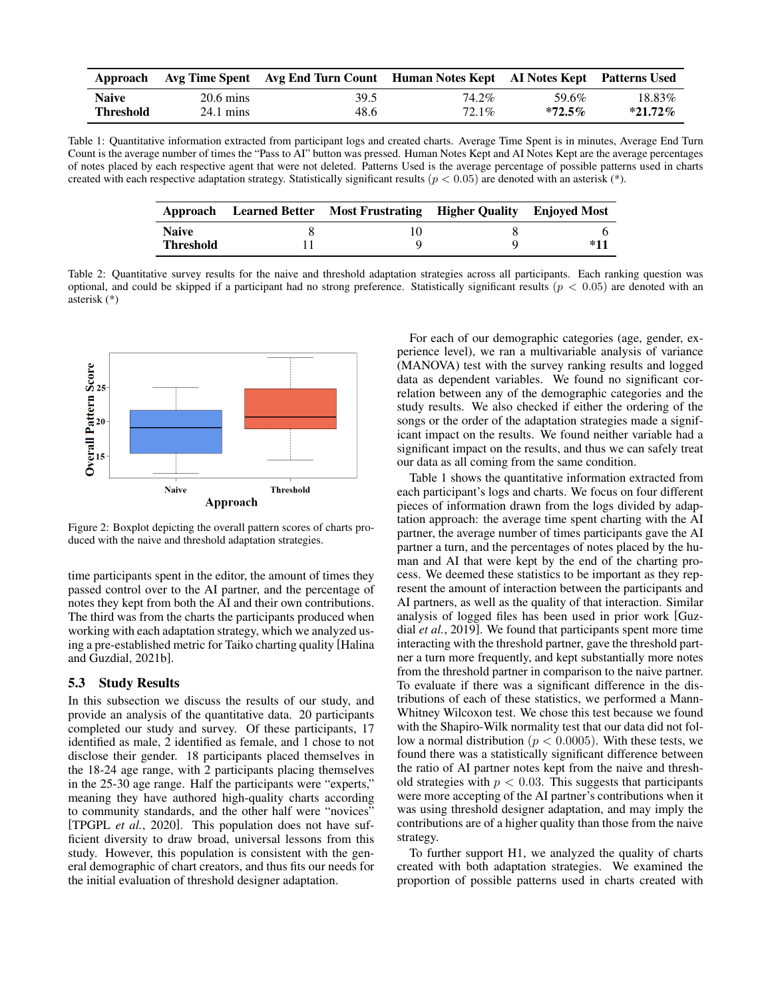<span id="page-4-0"></span>

|                  |                     | Approach Avg Time Spent Avg End Turn Count Human Notes Kept AI Notes Kept Patterns Used |       |           |            |
|------------------|---------------------|-----------------------------------------------------------------------------------------|-------|-----------|------------|
| <b>Naive</b>     | $20.6 \text{ mins}$ | 39.5                                                                                    | 74.2% | 59.6%     | 18.83%     |
| <b>Threshold</b> | $24.1 \text{ mins}$ | 48.6                                                                                    | 72.1% | $*72.5\%$ | $*21.72\%$ |

<span id="page-4-1"></span>Table 1: Quantitative information extracted from participant logs and created charts. Average Time Spent is in minutes, Average End Turn Count is the average number of times the "Pass to AI" button was pressed. Human Notes Kept and AI Notes Kept are the average percentages of notes placed by each respective agent that were not deleted. Patterns Used is the average percentage of possible patterns used in charts created with each respective adaptation strategy. Statistically significant results ( $p < 0.05$ ) are denoted with an asterisk (\*).

|                  | Approach Learned Better Most Frustrating Higher Quality Enjoyed Most |       |
|------------------|----------------------------------------------------------------------|-------|
| <b>Naive</b>     |                                                                      |       |
| <b>Threshold</b> |                                                                      | $*11$ |

Table 2: Quantitative survey results for the naive and threshold adaptation strategies across all participants. Each ranking question was optional, and could be skipped if a participant had no strong preference. Statistically significant results ( $p < 0.05$ ) are denoted with an asterisk (\*)



Figure 2: Boxplot depicting the overall pattern scores of charts produced with the naive and threshold adaptation strategies.

time participants spent in the editor, the amount of times they passed control over to the AI partner, and the percentage of notes they kept from both the AI and their own contributions. The third was from the charts the participants produced when working with each adaptation strategy, which we analyzed using a pre-established metric for Taiko charting quality [\[Halina](#page-6-24) [and Guzdial, 2021b\]](#page-6-24).

## 5.3 Study Results

In this subsection we discuss the results of our study, and provide an analysis of the quantitative data. 20 participants completed our study and survey. Of these participants, 17 identified as male, 2 identified as female, and 1 chose to not disclose their gender. 18 participants placed themselves in the 18-24 age range, with 2 participants placing themselves in the 25-30 age range. Half the participants were "experts," meaning they have authored high-quality charts according to community standards, and the other half were "novices" [\[TPGPL](#page-6-12) *et al.*, 2020]. This population does not have sufficient diversity to draw broad, universal lessons from this study. However, this population is consistent with the general demographic of chart creators, and thus fits our needs for the initial evaluation of threshold designer adaptation.

For each of our demographic categories (age, gender, experience level), we ran a multivariable analysis of variance (MANOVA) test with the survey ranking results and logged data as dependent variables. We found no significant correlation between any of the demographic categories and the study results. We also checked if either the ordering of the songs or the order of the adaptation strategies made a significant impact on the results. We found neither variable had a significant impact on the results, and thus we can safely treat our data as all coming from the same condition.

Table [1](#page-4-0) shows the quantitative information extracted from each participant's logs and charts. We focus on four different pieces of information drawn from the logs divided by adaptation approach: the average time spent charting with the AI partner, the average number of times participants gave the AI partner a turn, and the percentages of notes placed by the human and AI that were kept by the end of the charting process. We deemed these statistics to be important as they represent the amount of interaction between the participants and AI partners, as well as the quality of that interaction. Similar analysis of logged files has been used in prior work [\[Guz](#page-6-10)dial *et al.*[, 2019\]](#page-6-10). We found that participants spent more time interacting with the threshold partner, gave the threshold partner a turn more frequently, and kept substantially more notes from the threshold partner in comparison to the naive partner. To evaluate if there was a significant difference in the distributions of each of these statistics, we performed a Mann-Whitney Wilcoxon test. We chose this test because we found with the Shapiro-Wilk normality test that our data did not follow a normal distribution ( $p < 0.0005$ ). With these tests, we found there was a statistically significant difference between the ratio of AI partner notes kept from the naive and threshold strategies with  $p < 0.03$ . This suggests that participants were more accepting of the AI partner's contributions when it was using threshold designer adaptation, and may imply the contributions are of a higher quality than those from the naive strategy.

To further support H1, we analyzed the quality of charts created with both adaptation strategies. We examined the proportion of possible patterns used in charts created with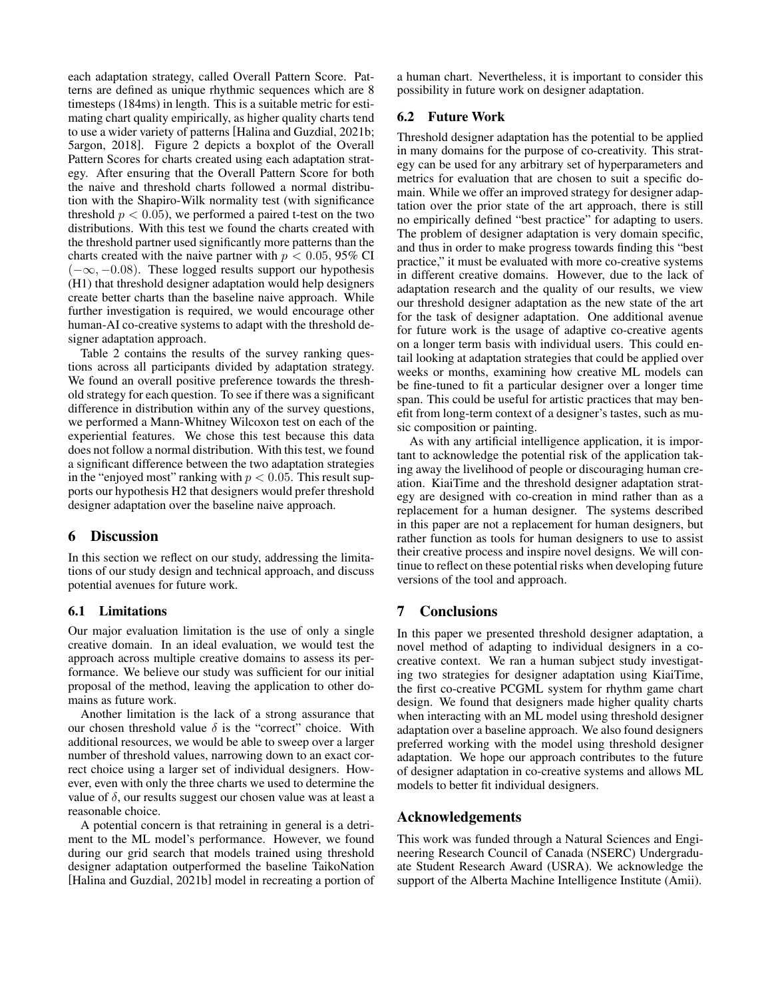each adaptation strategy, called Overall Pattern Score. Patterns are defined as unique rhythmic sequences which are 8 timesteps (184ms) in length. This is a suitable metric for estimating chart quality empirically, as higher quality charts tend to use a wider variety of patterns [\[Halina and Guzdial, 2021b;](#page-6-24) [5argon, 2018\]](#page-6-28). Figure 2 depicts a boxplot of the Overall Pattern Scores for charts created using each adaptation strategy. After ensuring that the Overall Pattern Score for both the naive and threshold charts followed a normal distribution with the Shapiro-Wilk normality test (with significance threshold  $p < 0.05$ , we performed a paired t-test on the two distributions. With this test we found the charts created with the threshold partner used significantly more patterns than the charts created with the naive partner with  $p < 0.05$ , 95% CI  $(-\infty, -0.08)$ . These logged results support our hypothesis (H1) that threshold designer adaptation would help designers create better charts than the baseline naive approach. While further investigation is required, we would encourage other human-AI co-creative systems to adapt with the threshold designer adaptation approach.

Table [2](#page-4-1) contains the results of the survey ranking questions across all participants divided by adaptation strategy. We found an overall positive preference towards the threshold strategy for each question. To see if there was a significant difference in distribution within any of the survey questions, we performed a Mann-Whitney Wilcoxon test on each of the experiential features. We chose this test because this data does not follow a normal distribution. With this test, we found a significant difference between the two adaptation strategies in the "enjoyed most" ranking with  $p < 0.05$ . This result supports our hypothesis H2 that designers would prefer threshold designer adaptation over the baseline naive approach.

# 6 Discussion

In this section we reflect on our study, addressing the limitations of our study design and technical approach, and discuss potential avenues for future work.

### 6.1 Limitations

Our major evaluation limitation is the use of only a single creative domain. In an ideal evaluation, we would test the approach across multiple creative domains to assess its performance. We believe our study was sufficient for our initial proposal of the method, leaving the application to other domains as future work.

Another limitation is the lack of a strong assurance that our chosen threshold value  $\delta$  is the "correct" choice. With additional resources, we would be able to sweep over a larger number of threshold values, narrowing down to an exact correct choice using a larger set of individual designers. However, even with only the three charts we used to determine the value of  $\delta$ , our results suggest our chosen value was at least a reasonable choice.

A potential concern is that retraining in general is a detriment to the ML model's performance. However, we found during our grid search that models trained using threshold designer adaptation outperformed the baseline TaikoNation [\[Halina and Guzdial, 2021b\]](#page-6-24) model in recreating a portion of a human chart. Nevertheless, it is important to consider this possibility in future work on designer adaptation.

## 6.2 Future Work

Threshold designer adaptation has the potential to be applied in many domains for the purpose of co-creativity. This strategy can be used for any arbitrary set of hyperparameters and metrics for evaluation that are chosen to suit a specific domain. While we offer an improved strategy for designer adaptation over the prior state of the art approach, there is still no empirically defined "best practice" for adapting to users. The problem of designer adaptation is very domain specific, and thus in order to make progress towards finding this "best practice," it must be evaluated with more co-creative systems in different creative domains. However, due to the lack of adaptation research and the quality of our results, we view our threshold designer adaptation as the new state of the art for the task of designer adaptation. One additional avenue for future work is the usage of adaptive co-creative agents on a longer term basis with individual users. This could entail looking at adaptation strategies that could be applied over weeks or months, examining how creative ML models can be fine-tuned to fit a particular designer over a longer time span. This could be useful for artistic practices that may benefit from long-term context of a designer's tastes, such as music composition or painting.

As with any artificial intelligence application, it is important to acknowledge the potential risk of the application taking away the livelihood of people or discouraging human creation. KiaiTime and the threshold designer adaptation strategy are designed with co-creation in mind rather than as a replacement for a human designer. The systems described in this paper are not a replacement for human designers, but rather function as tools for human designers to use to assist their creative process and inspire novel designs. We will continue to reflect on these potential risks when developing future versions of the tool and approach.

# 7 Conclusions

In this paper we presented threshold designer adaptation, a novel method of adapting to individual designers in a cocreative context. We ran a human subject study investigating two strategies for designer adaptation using KiaiTime, the first co-creative PCGML system for rhythm game chart design. We found that designers made higher quality charts when interacting with an ML model using threshold designer adaptation over a baseline approach. We also found designers preferred working with the model using threshold designer adaptation. We hope our approach contributes to the future of designer adaptation in co-creative systems and allows ML models to better fit individual designers.

### Acknowledgements

This work was funded through a Natural Sciences and Engineering Research Council of Canada (NSERC) Undergraduate Student Research Award (USRA). We acknowledge the support of the Alberta Machine Intelligence Institute (Amii).